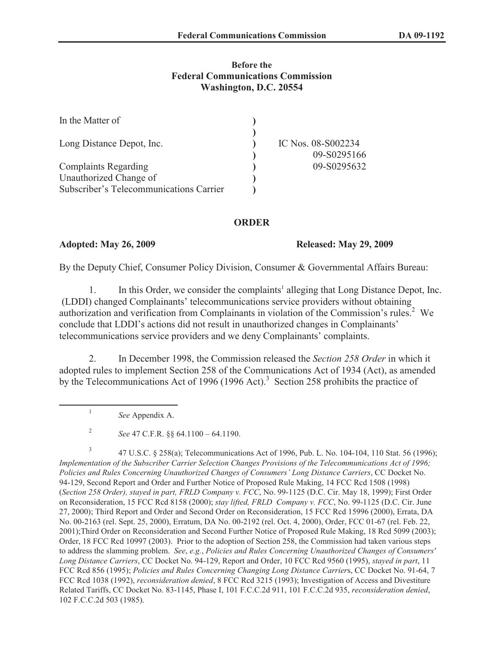#### **Before the Federal Communications Commission Washington, D.C. 20554**

| In the Matter of                        |                    |
|-----------------------------------------|--------------------|
|                                         |                    |
| Long Distance Depot, Inc.               | IC Nos. 08-S002234 |
|                                         | 09-S0295166        |
| <b>Complaints Regarding</b>             | 09-S0295632        |
| Unauthorized Change of                  |                    |
| Subscriber's Telecommunications Carrier |                    |

### **ORDER**

#### **Adopted: May 26, 2009 Released: May 29, 2009**

By the Deputy Chief, Consumer Policy Division, Consumer & Governmental Affairs Bureau:

1. In this Order, we consider the complaints<sup>1</sup> alleging that Long Distance Depot, Inc. (LDDI) changed Complainants' telecommunications service providers without obtaining authorization and verification from Complainants in violation of the Commission's rules.<sup>2</sup> We conclude that LDDI's actions did not result in unauthorized changes in Complainants' telecommunications service providers and we deny Complainants' complaints.

2. In December 1998, the Commission released the *Section 258 Order* in which it adopted rules to implement Section 258 of the Communications Act of 1934 (Act), as amended by the Telecommunications Act of 1996 (1996 Act).<sup>3</sup> Section 258 prohibits the practice of

*See* Appendix A.

1

2 *See* 47 C.F.R. §§ 64.1100 – 64.1190.

3 47 U.S.C. § 258(a); Telecommunications Act of 1996, Pub. L. No. 104-104, 110 Stat. 56 (1996); *Implementation of the Subscriber Carrier Selection Changes Provisions of the Telecommunications Act of 1996; Policies and Rules Concerning Unauthorized Changes of Consumers' Long Distance Carriers*, CC Docket No. 94-129, Second Report and Order and Further Notice of Proposed Rule Making, 14 FCC Rcd 1508 (1998) (*Section 258 Order), stayed in part, FRLD Company v. FCC*, No. 99-1125 (D.C. Cir. May 18, 1999); First Order on Reconsideration, 15 FCC Rcd 8158 (2000); *stay lifted, FRLD Company v. FCC*, No. 99-1125 (D.C. Cir. June 27, 2000); Third Report and Order and Second Order on Reconsideration, 15 FCC Rcd 15996 (2000), Errata, DA No. 00-2163 (rel. Sept. 25, 2000), Erratum, DA No. 00-2192 (rel. Oct. 4, 2000), Order, FCC 01-67 (rel. Feb. 22, 2001);Third Order on Reconsideration and Second Further Notice of Proposed Rule Making, 18 Rcd 5099 (2003); Order, 18 FCC Rcd 10997 (2003). Prior to the adoption of Section 258, the Commission had taken various steps to address the slamming problem. *See*, *e.g.*, *Policies and Rules Concerning Unauthorized Changes of Consumers' Long Distance Carriers*, CC Docket No. 94-129, Report and Order, 10 FCC Rcd 9560 (1995), *stayed in part*, 11 FCC Rcd 856 (1995); *Policies and Rules Concerning Changing Long Distance Carrier*s, CC Docket No. 91-64, 7 FCC Rcd 1038 (1992), *reconsideration denied*, 8 FCC Rcd 3215 (1993); Investigation of Access and Divestiture Related Tariffs, CC Docket No. 83-1145, Phase I, 101 F.C.C.2d 911, 101 F.C.C.2d 935, *reconsideration denied*, 102 F.C.C.2d 503 (1985).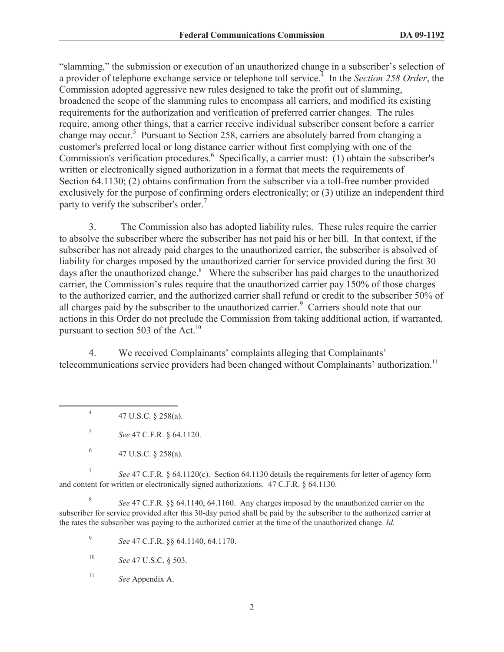"slamming," the submission or execution of an unauthorized change in a subscriber's selection of a provider of telephone exchange service or telephone toll service.<sup>4</sup> In the *Section 258 Order*, the Commission adopted aggressive new rules designed to take the profit out of slamming, broadened the scope of the slamming rules to encompass all carriers, and modified its existing requirements for the authorization and verification of preferred carrier changes. The rules require, among other things, that a carrier receive individual subscriber consent before a carrier change may occur.<sup>5</sup> Pursuant to Section 258, carriers are absolutely barred from changing a customer's preferred local or long distance carrier without first complying with one of the Commission's verification procedures.<sup>6</sup> Specifically, a carrier must: (1) obtain the subscriber's written or electronically signed authorization in a format that meets the requirements of Section 64.1130; (2) obtains confirmation from the subscriber via a toll-free number provided exclusively for the purpose of confirming orders electronically; or (3) utilize an independent third party to verify the subscriber's order.<sup>7</sup>

3. The Commission also has adopted liability rules. These rules require the carrier to absolve the subscriber where the subscriber has not paid his or her bill. In that context, if the subscriber has not already paid charges to the unauthorized carrier, the subscriber is absolved of liability for charges imposed by the unauthorized carrier for service provided during the first 30 days after the unauthorized change.<sup>8</sup> Where the subscriber has paid charges to the unauthorized carrier, the Commission's rules require that the unauthorized carrier pay 150% of those charges to the authorized carrier, and the authorized carrier shall refund or credit to the subscriber 50% of all charges paid by the subscriber to the unauthorized carrier.<sup>9</sup> Carriers should note that our actions in this Order do not preclude the Commission from taking additional action, if warranted, pursuant to section 503 of the Act.<sup>10</sup>

4. We received Complainants' complaints alleging that Complainants' telecommunications service providers had been changed without Complainants' authorization.<sup>11</sup>

4 47 U.S.C. § 258(a).

5 *See* 47 C.F.R. § 64.1120.

6 47 U.S.C. § 258(a).

7 *See* 47 C.F.R. § 64.1120(c). Section 64.1130 details the requirements for letter of agency form and content for written or electronically signed authorizations. 47 C.F.R. § 64.1130.

8 *See* 47 C.F.R. §§ 64.1140, 64.1160. Any charges imposed by the unauthorized carrier on the subscriber for service provided after this 30-day period shall be paid by the subscriber to the authorized carrier at the rates the subscriber was paying to the authorized carrier at the time of the unauthorized change. *Id.*

9 *See* 47 C.F.R. §§ 64.1140, 64.1170.

<sup>10</sup> *See* 47 U.S.C. § 503.

<sup>11</sup> *See* Appendix A.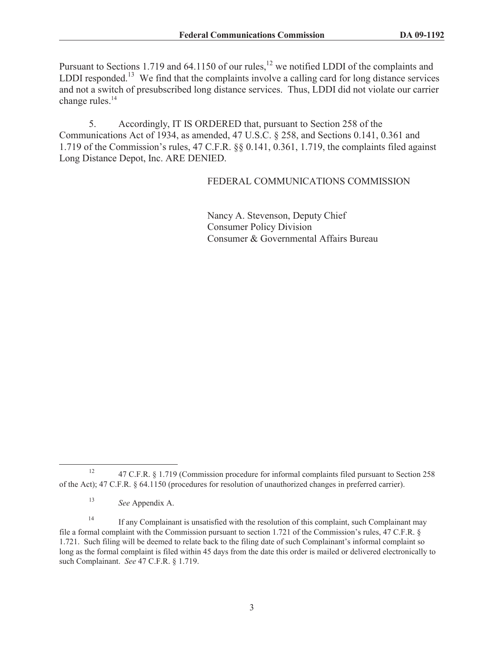Pursuant to Sections 1.719 and  $64.1150$  of our rules,<sup>12</sup> we notified LDDI of the complaints and LDDI responded.<sup>13</sup> We find that the complaints involve a calling card for long distance services and not a switch of presubscribed long distance services. Thus, LDDI did not violate our carrier change rules. $14$ 

5. Accordingly, IT IS ORDERED that, pursuant to Section 258 of the Communications Act of 1934, as amended, 47 U.S.C. § 258, and Sections 0.141, 0.361 and 1.719 of the Commission's rules, 47 C.F.R. §§ 0.141, 0.361, 1.719, the complaints filed against Long Distance Depot, Inc. ARE DENIED.

## FEDERAL COMMUNICATIONS COMMISSION

Nancy A. Stevenson, Deputy Chief Consumer Policy Division Consumer & Governmental Affairs Bureau

<sup>&</sup>lt;sup>12</sup> 47 C.F.R. § 1.719 (Commission procedure for informal complaints filed pursuant to Section 258 of the Act); 47 C.F.R. § 64.1150 (procedures for resolution of unauthorized changes in preferred carrier).

<sup>13</sup> *See* Appendix A.

<sup>&</sup>lt;sup>14</sup> If any Complainant is unsatisfied with the resolution of this complaint, such Complainant may file a formal complaint with the Commission pursuant to section 1.721 of the Commission's rules, 47 C.F.R. § 1.721. Such filing will be deemed to relate back to the filing date of such Complainant's informal complaint so long as the formal complaint is filed within 45 days from the date this order is mailed or delivered electronically to such Complainant. *See* 47 C.F.R. § 1.719.